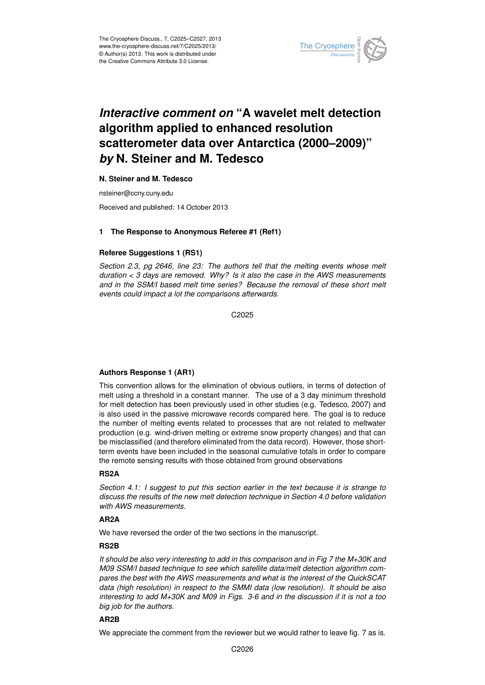

# *Interactive comment on* **"A wavelet melt detection algorithm applied to enhanced resolution scatterometer data over Antarctica (2000–2009)"** *by* **N. Steiner and M. Tedesco**

## **N. Steiner and M. Tedesco**

nsteiner@ccny.cuny.edu

Received and published: 14 October 2013

#### **1 The Response to Anonymous Referee #1 (Ref1)**

## **Referee Suggestions 1 (RS1)**

*Section 2.3, pg 2646, line 23: The authors tell that the melting events whose melt duration < 3 days are removed. Why? Is it also the case in the AWS measurements and in the SSM/I based melt time series? Because the removal of these short melt events could impact a lot the comparisons afterwards.*

C<sub>2025</sub>

## **Authors Response 1 (AR1)**

This convention allows for the elimination of obvious outliers, in terms of detection of melt using a threshold in a constant manner. The use of a 3 day minimum threshold for melt detection has been previously used in other studies (e.g. Tedesco, 2007) and is also used in the passive microwave records compared here. The goal is to reduce the number of melting events related to processes that are not related to meltwater production (e.g. wind-driven melting or extreme snow property changes) and that can be misclassified (and therefore eliminated from the data record). However, those shortterm events have been included in the seasonal cumulative totals in order to compare the remote sensing results with those obtained from ground observations

## **RS2A**

*Section 4.1: I suggest to put this section earlier in the text because it is strange to discuss the results of the new melt detection technique in Section 4.0 before validation with AWS measurements.*

## **AR2A**

We have reversed the order of the two sections in the manuscript.

## **RS2B**

*It should be also very interesting to add in this comparison and in Fig 7 the M+30K and M09 SSM/I based technique to see which satellite data/melt detection algorithm compares the best with the AWS measurements and what is the interest of the QuickSCAT data (high resolution) in respect to the SMMI data (low resolution). It should be also interesting to add M+30K and M09 in Figs. 3-6 and in the discussion if it is not a too big job for the authors.*

## **AR2B**

We appreciate the comment from the reviewer but we would rather to leave fig. 7 as is.